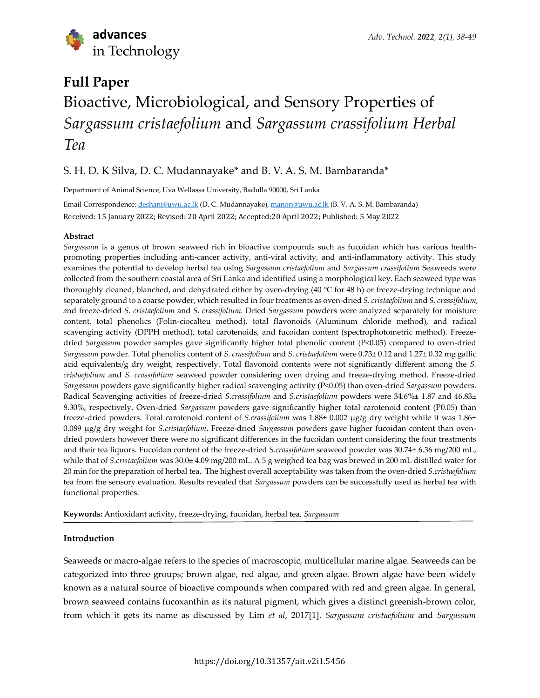

# **Full Paper** Bioactive, Microbiological, and Sensory Properties of *Sargassum cristaefolium* and *Sargassum crassifolium Herbal Tea*

# S. H. D. K Silva, D. C. Mudannayake\* and B. V. A. S. M. Bambaranda\*

Department of Animal Science, Uva Wellassa University, Badulla 90000, Sri Lanka

Email Correspondence: [deshani@uwu.ac.lk](mailto:deshani@uwu.ac.lk) (D. C. Mudannayake), [manori@uwu.ac.lk](mailto:manori@uwu.ac.lk) (B. V. A. S. M. Bambaranda) Received: 15 January 2022; Revised: 20 April 2022; Accepted:20 April 2022; Published: 5 May 2022

# **Abstract**

*Sargassum* is a genus of brown seaweed rich in bioactive compounds such as fucoidan which has various healthpromoting properties including anti-cancer activity, anti-viral activity, and anti-inflammatory activity. This study examines the potential to develop herbal tea using *Sargassum cristaefolium* and *Sargassum crassifolium* Seaweeds were collected from the southern coastal area of Sri Lanka and identified using a morphological key. Each seaweed type was thoroughly cleaned, blanched, and dehydrated either by oven-drying (40 ℃ for 48 h) or freeze-drying technique and separately ground to a coarse powder, which resulted in four treatments as oven-dried *S. cristaefolium* and *S. crassifolium, a*nd freeze-dried *S. cristaefolium* and *S. crassifolium.* Dried *Sargassum* powders were analyzed separately for moisture content, total phenolics (Folin-ciocalteu method), total flavonoids (Aluminum chloride method), and radical scavenging activity (DPPH method), total carotenoids, and fucoidan content (spectrophotometric method). Freezedried *Sargassum* powder samples gave significantly higher total phenolic content (P<0.05) compared to oven-dried *Sargassum* powder. Total phenolics content of *S*. *crassifolium* and *S*. *cristaefolium* were 0.73± 0.12 and 1.27± 0.32 mg gallic acid equivalents/g dry weight, respectively. Total flavonoid contents were not significantly different among the *S. cristaefolium* and *S. crassifolium* seaweed powder considering oven drying and freeze-drying method. Freeze-dried *Sargassum* powders gave significantly higher radical scavenging activity (P<0.05) than oven-dried *Sargassum* powders. Radical Scavenging activities of freeze-dried *S.crassifolium* and *S.cristaefolium* powders were 34.6%± 1.87 and 46.83± 8.30%, respectively. Oven-dried *Sargassum* powders gave significantly higher total carotenoid content (P0.05) than freeze-dried powders. Total carotenoid content of *S.crassifolium* was 1.88± 0.002 µg/g dry weight while it was 1.86± 0.089 µg/g dry weight for *S.cristaefolium*. Freeze-dried *Sargassum* powders gave higher fucoidan content than ovendried powders however there were no significant differences in the fucoidan content considering the four treatments and their tea liquors. Fucoidan content of the freeze-dried *S.crassifolium* seaweed powder was 30.74± 6.36 mg/200 mL, while that of *S.cristaefolium* was 30.0± 4.09 mg/200 mL. A 5 g weighed tea bag was brewed in 200 mL distilled water for 20 min for the preparation of herbal tea. The highest overall acceptability was taken from the oven-dried *S.cristaefolium* tea from the sensory evaluation. Results revealed that *Sargassum* powders can be successfully used as herbal tea with functional properties.

**Keywords:** Antioxidant activity, freeze-drying, fucoidan, herbal tea, *Sargassum*

# **Introduction**

Seaweeds or macro-algae refers to the species of macroscopic, multicellular marine algae. Seaweeds can be categorized into three groups; brown algae, red algae, and green algae. Brown algae have been widely known as a natural source of bioactive compounds when compared with red and green algae. In general, brown seaweed contains fucoxanthin as its natural pigment, which gives a distinct greenish-brown color, from which it gets its name as discussed by Lim *et al*, 2017[1]. *Sargassum cristaefolium* and *Sargassum*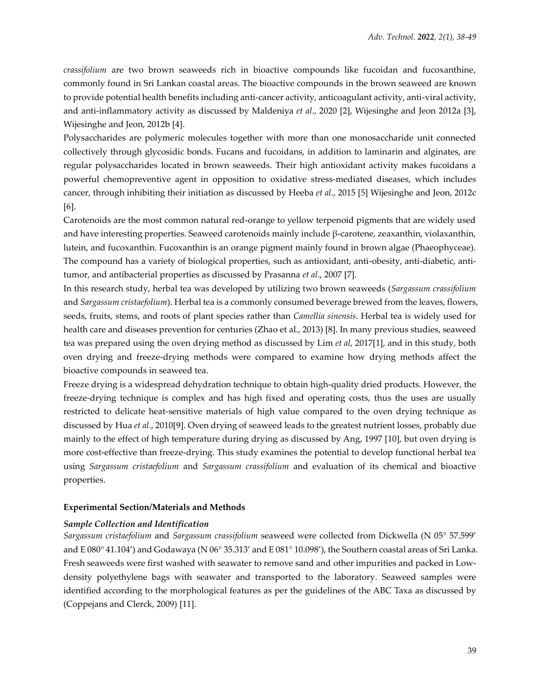*crassifolium* are two brown seaweeds rich in bioactive compounds like fucoidan and fucoxanthine, commonly found in Sri Lankan coastal areas. The bioactive compounds in the brown seaweed are known to provide potential health benefits including anti-cancer activity, anticoagulant activity, anti-viral activity, and anti-inflammatory activity as discussed by Maldeniya *et al*., 2020 [2], Wijesinghe and Jeon 2012a [3], Wijesinghe and Jeon, 2012b [4].

Polysaccharides are polymeric molecules together with more than one monosaccharide unit connected collectively through glycosidic bonds. Fucans and fucoidans, in addition to laminarin and alginates, are regular polysaccharides located in brown seaweeds. Their high antioxidant activity makes fucoidans a powerful chemopreventive agent in opposition to oxidative stress-mediated diseases, which includes cancer, through inhibiting their initiation as discussed by Heeba *et al*., 2015 [5] Wijesinghe and Jeon, 2012c [6].

Carotenoids are the most common natural red-orange to yellow terpenoid pigments that are widely used and have interesting properties. Seaweed carotenoids mainly include β-carotene, zeaxanthin, violaxanthin, lutein, and fucoxanthin. Fucoxanthin is an orange pigment mainly found in brown algae (Phaeophyceae). The compound has a variety of biological properties, such as antioxidant, anti-obesity, anti-diabetic, antitumor, and antibacterial properties as discussed by Prasanna *et al*., 2007 [7].

In this research study, herbal tea was developed by utilizing two brown seaweeds (*Sargassum crassifolium* and *Sargassum cristaefolium*). Herbal tea is a commonly consumed beverage brewed from the leaves, flowers, seeds, fruits, stems, and roots of plant species rather than *Camellia sinensis*. Herbal tea is widely used for health care and diseases prevention for centuries (Zhao et al., 2013) [8]. In many previous studies, seaweed tea was prepared using the oven drying method as discussed by Lim *et al*, 2017[1], and in this study, both oven drying and freeze-drying methods were compared to examine how drying methods affect the bioactive compounds in seaweed tea.

Freeze drying is a widespread dehydration technique to obtain high-quality dried products. However, the freeze-drying technique is complex and has high fixed and operating costs, thus the uses are usually restricted to delicate heat-sensitive materials of high value compared to the oven drying technique as discussed by Hua *et al*., 2010[9]. Oven drying of seaweed leads to the greatest nutrient losses, probably due mainly to the effect of high temperature during drying as discussed by Ang, 1997 [10], but oven drying is more cost-effective than freeze-drying. This study examines the potential to develop functional herbal tea using *Sargassum cristaefolium* and *Sargassum crassifolium* and evaluation of its chemical and bioactive properties.

#### **Experimental Section/Materials and Methods**

#### *Sample Collection and Identification*

*Sargassum cristaefolium* and *Sargassum crassifolium* seaweed were collected from Dickwella (N 05° 57.599' and E 080° 41.104') and Godawaya (N 06° 35.313' and E 081° 10.098'), the Southern coastal areas of Sri Lanka. Fresh seaweeds were first washed with seawater to remove sand and other impurities and packed in Lowdensity polyethylene bags with seawater and transported to the laboratory. Seaweed samples were identified according to the morphological features as per the guidelines of the ABC Taxa as discussed by (Coppejans and Clerck, 2009) [11].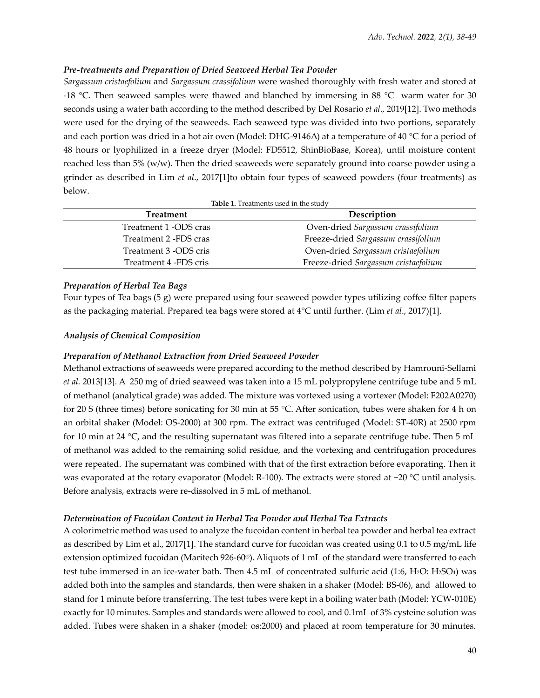# *Pre-treatments and Preparation of Dried Seaweed Herbal Tea Powder*

*Sargassum cristaefolium* and *Sargassum crassifolium* were washed thoroughly with fresh water and stored at -18 °C. Then seaweed samples were thawed and blanched by immersing in 88 °C warm water for 30 seconds using a water bath according to the method described by Del Rosario *et al*., 2019[12]. Two methods were used for the drying of the seaweeds. Each seaweed type was divided into two portions, separately and each portion was dried in a hot air oven (Model: DHG-9146A) at a temperature of 40 °C for a period of 48 hours or lyophilized in a freeze dryer (Model: FD5512, ShinBioBase, Korea), until moisture content reached less than 5% (w/w). Then the dried seaweeds were separately ground into coarse powder using a grinder as described in Lim *et al*., 2017[1]to obtain four types of seaweed powders (four treatments) as below.

| Table 1. Treatments used in the study |  |
|---------------------------------------|--|
|---------------------------------------|--|

| Treatment             | Description                          |
|-----------------------|--------------------------------------|
| Treatment 1 -ODS cras | Oven-dried Sargassum crassifolium    |
| Treatment 2 -FDS cras | Freeze-dried Sargassum crassifolium  |
| Treatment 3 -ODS cris | Oven-dried Sargassum cristaefolium   |
| Treatment 4 -FDS cris | Freeze-dried Sargassum cristaefolium |

# *Preparation of Herbal Tea Bags*

Four types of Tea bags (5 g) were prepared using four seaweed powder types utilizing coffee filter papers as the packaging material. Prepared tea bags were stored at 4°C until further. (Lim *et al*., 2017)[1].

# *Analysis of Chemical Composition*

# *Preparation of Methanol Extraction from Dried Seaweed Powder*

Methanol extractions of seaweeds were prepared according to the method described by Hamrouni-Sellami *et al.* 2013[13]. A 250 mg of dried seaweed was taken into a 15 mL polypropylene centrifuge tube and 5 mL of methanol (analytical grade) was added. The mixture was vortexed using a vortexer (Model: F202A0270) for 20 S (three times) before sonicating for 30 min at 55 °C. After sonication, tubes were shaken for 4 h on an orbital shaker (Model: OS-2000) at 300 rpm. The extract was centrifuged (Model: ST-40R) at 2500 rpm for 10 min at 24 °C, and the resulting supernatant was filtered into a separate centrifuge tube. Then 5 mL of methanol was added to the remaining solid residue, and the vortexing and centrifugation procedures were repeated. The supernatant was combined with that of the first extraction before evaporating. Then it was evaporated at the rotary evaporator (Model: R-100). The extracts were stored at −20 °C until analysis. Before analysis, extracts were re-dissolved in 5 mL of methanol.

# *Determination of Fucoidan Content in Herbal Tea Powder and Herbal Tea Extracts*

A colorimetric method was used to analyze the fucoidan content in herbal tea powder and herbal tea extract as described by Lim et al., 2017[1]. The standard curve for fucoidan was created using 0.1 to 0.5 mg/mL life extension optimized fucoidan (Maritech 926-60®). Aliquots of 1 mL of the standard were transferred to each test tube immersed in an ice-water bath. Then 4.5 mL of concentrated sulfuric acid (1:6, H2O: H2SO4) was added both into the samples and standards, then were shaken in a shaker (Model: BS-06), and allowed to stand for 1 minute before transferring. The test tubes were kept in a boiling water bath (Model: YCW-010E) exactly for 10 minutes. Samples and standards were allowed to cool, and 0.1mL of 3% cysteine solution was added. Tubes were shaken in a shaker (model: os:2000) and placed at room temperature for 30 minutes.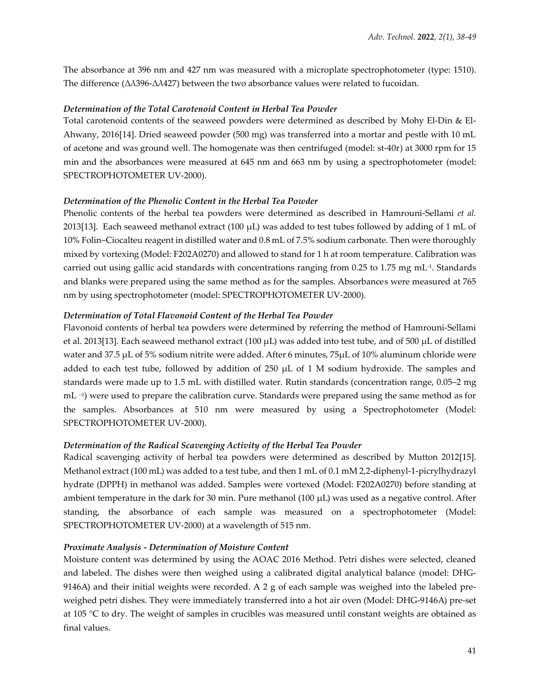The absorbance at 396 nm and 427 nm was measured with a microplate spectrophotometer (type: 1510). The difference (Δλ396-Δλ427) between the two absorbance values were related to fucoidan.

## *Determination of the Total Carotenoid Content in Herbal Tea Powder*

Total carotenoid contents of the seaweed powders were determined as described by Mohy El-Din & El-Ahwany, 2016[14]. Dried seaweed powder (500 mg) was transferred into a mortar and pestle with 10 mL of acetone and was ground well. The homogenate was then centrifuged (model: st-40r) at 3000 rpm for 15 min and the absorbances were measured at 645 nm and 663 nm by using a spectrophotometer (model: SPECTROPHOTOMETER UV-2000).

## *Determination of the Phenolic Content in the Herbal Tea Powder*

Phenolic contents of the herbal tea powders were determined as described in Hamrouni-Sellami *et al.* 2013[13]. Each seaweed methanol extract (100  $\mu$ L) was added to test tubes followed by adding of 1 mL of 10% Folin–Ciocalteu reagent in distilled water and 0.8 mL of 7.5% sodium carbonate. Then were thoroughly mixed by vortexing (Model: F202A0270) and allowed to stand for 1 h at room temperature. Calibration was carried out using gallic acid standards with concentrations ranging from 0.25 to 1.75 mg mL-1 . Standards and blanks were prepared using the same method as for the samples. Absorbances were measured at 765 nm by using spectrophotometer (model: SPECTROPHOTOMETER UV-2000).

## *Determination of Total Flavonoid Content of the Herbal Tea Powder*

Flavonoid contents of herbal tea powders were determined by referring the method of Hamrouni-Sellami et al. 2013[13]. Each seaweed methanol extract (100  $\mu$ L) was added into test tube, and of 500  $\mu$ L of distilled water and 37.5 µL of 5% sodium nitrite were added. After 6 minutes, 75µL of 10% aluminum chloride were added to each test tube, followed by addition of 250 µL of 1 M sodium hydroxide. The samples and standards were made up to 1.5 mL with distilled water. Rutin standards (concentration range, 0.05–2 mg mL <sup>-1</sup>) were used to prepare the calibration curve. Standards were prepared using the same method as for the samples. Absorbances at 510 nm were measured by using a Spectrophotometer (Model: SPECTROPHOTOMETER UV-2000).

## *Determination of the Radical Scavenging Activity of the Herbal Tea Powder*

Radical scavenging activity of herbal tea powders were determined as described by Mutton 2012[15]. Methanol extract (100 mL) was added to a test tube, and then 1 mL of 0.1 mM 2,2-diphenyl-1-picrylhydrazyl hydrate (DPPH) in methanol was added. Samples were vortexed (Model: F202A0270) before standing at ambient temperature in the dark for 30 min. Pure methanol  $(100 \mu L)$  was used as a negative control. After standing, the absorbance of each sample was measured on a spectrophotometer (Model: SPECTROPHOTOMETER UV-2000) at a wavelength of 515 nm.

#### *Proximate Analysis - Determination of Moisture Content*

Moisture content was determined by using the AOAC 2016 Method. Petri dishes were selected, cleaned and labeled. The dishes were then weighed using a calibrated digital analytical balance (model: DHG-9146A) and their initial weights were recorded. A 2 g of each sample was weighed into the labeled preweighed petri dishes. They were immediately transferred into a hot air oven (Model: DHG-9146A) pre-set at 105 °C to dry. The weight of samples in crucibles was measured until constant weights are obtained as final values.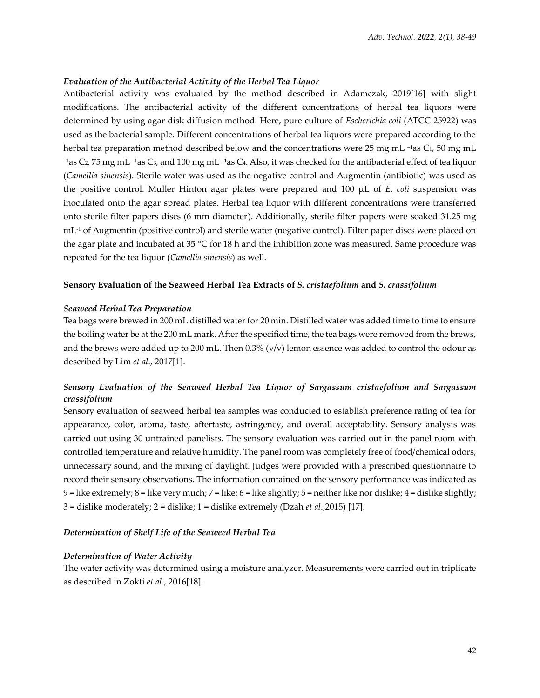### *Evaluation of the Antibacterial Activity of the Herbal Tea Liquor*

Antibacterial activity was evaluated by the method described in Adamczak, 2019[16] with slight modifications. The antibacterial activity of the different concentrations of herbal tea liquors were determined by using agar disk diffusion method. Here, pure culture of *Escherichia coli* (ATCC 25922) was used as the bacterial sample. Different concentrations of herbal tea liquors were prepared according to the herbal tea preparation method described below and the concentrations were 25 mg mL <sup>-1</sup>as C<sub>1</sub>, 50 mg mL  $-1$ as C<sub>2</sub>, 75 mg mL  $-1$ as C<sub>3</sub>, and 100 mg mL  $-1$ as C<sub>4</sub>. Also, it was checked for the antibacterial effect of tea liquor (*Camellia sinensis*). Sterile water was used as the negative control and Augmentin (antibiotic) was used as the positive control. Muller Hinton agar plates were prepared and 100 µL of *E*. *coli* suspension was inoculated onto the agar spread plates. Herbal tea liquor with different concentrations were transferred onto sterile filter papers discs (6 mm diameter). Additionally, sterile filter papers were soaked 31.25 mg mL-1 of Augmentin (positive control) and sterile water (negative control). Filter paper discs were placed on the agar plate and incubated at 35 °C for 18 h and the inhibition zone was measured. Same procedure was repeated for the tea liquor (*Camellia sinensis*) as well.

## **Sensory Evaluation of the Seaweed Herbal Tea Extracts of** *S. cristaefolium* **and** *S. crassifolium*

#### *Seaweed Herbal Tea Preparation*

Tea bags were brewed in 200 mL distilled water for 20 min. Distilled water was added time to time to ensure the boiling water be at the 200 mL mark. After the specified time, the tea bags were removed from the brews, and the brews were added up to 200 mL. Then  $0.3\%$  (v/v) lemon essence was added to control the odour as described by Lim *et al*., 2017[1].

# *Sensory Evaluation of the Seaweed Herbal Tea Liquor of Sargassum cristaefolium and Sargassum crassifolium*

Sensory evaluation of seaweed herbal tea samples was conducted to establish preference rating of tea for appearance, color, aroma, taste, aftertaste, astringency, and overall acceptability. Sensory analysis was carried out using 30 untrained panelists. The sensory evaluation was carried out in the panel room with controlled temperature and relative humidity. The panel room was completely free of food/chemical odors, unnecessary sound, and the mixing of daylight. Judges were provided with a prescribed questionnaire to record their sensory observations. The information contained on the sensory performance was indicated as 9 = like extremely; 8 = like very much; 7 = like; 6 = like slightly; 5 = neither like nor dislike; 4 = dislike slightly; 3 = dislike moderately; 2 = dislike; 1 = dislike extremely (Dzah *et al*.,2015) [17].

#### *Determination of Shelf Life of the Seaweed Herbal Tea*

#### *Determination of Water Activity*

The water activity was determined using a moisture analyzer. Measurements were carried out in triplicate as described in Zokti *et al*., 2016[18].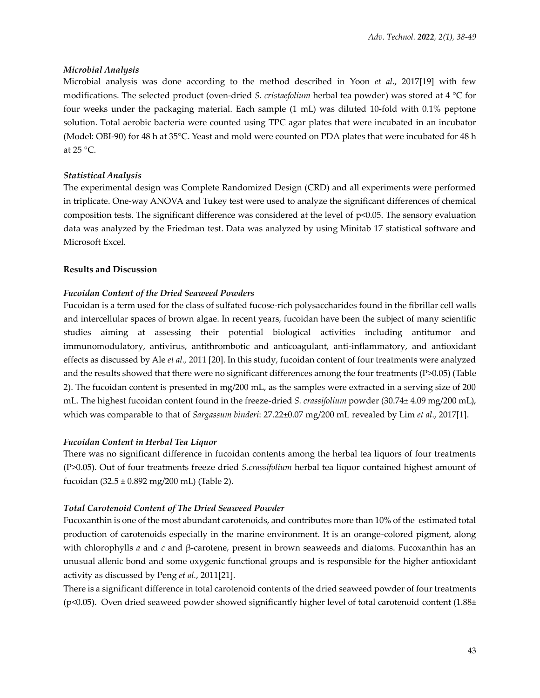## *Microbial Analysis*

Microbial analysis was done according to the method described in Yoon *et al*., 2017[19] with few modifications. The selected product (oven-dried *S*. *cristaefolium* herbal tea powder) was stored at 4 °C for four weeks under the packaging material. Each sample (1 mL) was diluted 10-fold with 0.1% peptone solution. Total aerobic bacteria were counted using TPC agar plates that were incubated in an incubator (Model: OBI-90) for 48 h at 35°C. Yeast and mold were counted on PDA plates that were incubated for 48 h at 25 °C.

# *Statistical Analysis*

The experimental design was Complete Randomized Design (CRD) and all experiments were performed in triplicate. One-way ANOVA and Tukey test were used to analyze the significant differences of chemical composition tests. The significant difference was considered at the level of p<0.05. The sensory evaluation data was analyzed by the Friedman test. Data was analyzed by using Minitab 17 statistical software and Microsoft Excel.

## **Results and Discussion**

# *Fucoidan Content of the Dried Seaweed Powders*

Fucoidan is a term used for the class of sulfated fucose-rich polysaccharides found in the fibrillar cell walls and intercellular spaces of brown algae. In recent years, fucoidan have been the subject of many scientific studies aiming at assessing their potential biological activities including antitumor and immunomodulatory, antivirus, antithrombotic and anticoagulant, anti-inflammatory, and antioxidant effects as discussed by Ale *et al.,* 2011 [20]. In this study, fucoidan content of four treatments were analyzed and the results showed that there were no significant differences among the four treatments (P>0.05) (Table 2). The fucoidan content is presented in mg/200 mL, as the samples were extracted in a serving size of 200 mL. The highest fucoidan content found in the freeze-dried *S. crassifolium* powder (30.74± 4.09 mg/200 mL), which was comparable to that of *Sargassum binderi*: 27.22±0.07 mg/200 mL revealed by Lim *et al*., 2017[1].

#### *Fucoidan Content in Herbal Tea Liquor*

There was no significant difference in fucoidan contents among the herbal tea liquors of four treatments (P>0.05). Out of four treatments freeze dried *S.crassifolium* herbal tea liquor contained highest amount of fucoidan  $(32.5 \pm 0.892 \text{ mg}/200 \text{ mL})$  (Table 2).

#### *Total Carotenoid Content of The Dried Seaweed Powder*

Fucoxanthin is one of the most abundant carotenoids, and contributes more than 10% of the estimated total production of carotenoids especially in the marine environment. It is an orange-colored pigment, along with chlorophylls *a* and *c* and β-carotene, present in brown seaweeds and diatoms. Fucoxanthin has an unusual allenic bond and some oxygenic functional groups and is responsible for the higher antioxidant activity as discussed by Peng *et al.*, 2011[21].

There is a significant difference in total carotenoid contents of the dried seaweed powder of four treatments (p<0.05). Oven dried seaweed powder showed significantly higher level of total carotenoid content  $(1.88±$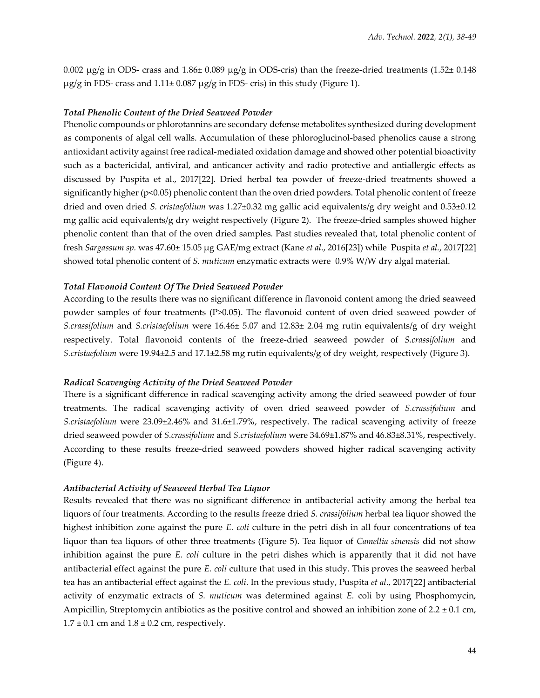0.002  $\mu$ g/g in ODS- crass and 1.86± 0.089  $\mu$ g/g in ODS-cris) than the freeze-dried treatments (1.52± 0.148 µg/g in FDS- crass and 1.11± 0.087 µg/g in FDS- cris) in this study (Figure 1).

#### *Total Phenolic Content of the Dried Seaweed Powder*

Phenolic compounds or phlorotannins are secondary defense metabolites synthesized during development as components of algal cell walls. Accumulation of these phloroglucinol-based phenolics cause a strong antioxidant activity against free radical-mediated oxidation damage and showed other potential bioactivity such as a bactericidal, antiviral, and anticancer activity and radio protective and antiallergic effects as discussed by Puspita et al., 2017[22]. Dried herbal tea powder of freeze-dried treatments showed a significantly higher (p<0.05) phenolic content than the oven dried powders. Total phenolic content of freeze dried and oven dried *S. cristaefolium* was 1.27±0.32 mg gallic acid equivalents/g dry weight and 0.53±0.12 mg gallic acid equivalents/g dry weight respectively (Figure 2). The freeze-dried samples showed higher phenolic content than that of the oven dried samples. Past studies revealed that, total phenolic content of fresh *Sargassum sp.* was 47.60± 15.05 µg GAE/mg extract (Kane *et al*., 2016[23]) while Puspita *et al.*, 2017[22] showed total phenolic content of *S. muticum* enzymatic extracts were 0.9% W/W dry algal material.

#### *Total Flavonoid Content Of The Dried Seaweed Powder*

According to the results there was no significant difference in flavonoid content among the dried seaweed powder samples of four treatments (P>0.05). The flavonoid content of oven dried seaweed powder of *S.crassifolium* and *S.cristaefolium* were 16.46± 5.07 and 12.83± 2.04 mg rutin equivalents/g of dry weight respectively. Total flavonoid contents of the freeze-dried seaweed powder of *S.crassifolium* and *S.cristaefolium* were 19.94±2.5 and 17.1±2.58 mg rutin equivalents/g of dry weight, respectively (Figure 3).

#### *Radical Scavenging Activity of the Dried Seaweed Powder*

There is a significant difference in radical scavenging activity among the dried seaweed powder of four treatments. The radical scavenging activity of oven dried seaweed powder of *S.crassifolium* and *S.cristaefolium* were 23.09±2.46% and 31.6±1.79%, respectively. The radical scavenging activity of freeze dried seaweed powder of *S.crassifolium* and *S.cristaefolium* were 34.69±1.87% and 46.83±8.31%, respectively. According to these results freeze-dried seaweed powders showed higher radical scavenging activity (Figure 4).

#### *Antibacterial Activity of Seaweed Herbal Tea Liquor*

Results revealed that there was no significant difference in antibacterial activity among the herbal tea liquors of four treatments. According to the results freeze dried *S. crassifolium* herbal tea liquor showed the highest inhibition zone against the pure *E. coli* culture in the petri dish in all four concentrations of tea liquor than tea liquors of other three treatments (Figure 5). Tea liquor of *Camellia sinensis* did not show inhibition against the pure *E. coli* culture in the petri dishes which is apparently that it did not have antibacterial effect against the pure *E. coli* culture that used in this study. This proves the seaweed herbal tea has an antibacterial effect against the *E. coli*. In the previous study, Puspita *et al*., 2017[22] antibacterial activity of enzymatic extracts of *S. muticum* was determined against *E.* coli by using Phosphomycin, Ampicillin, Streptomycin antibiotics as the positive control and showed an inhibition zone of  $2.2 \pm 0.1$  cm,  $1.7 \pm 0.1$  cm and  $1.8 \pm 0.2$  cm, respectively.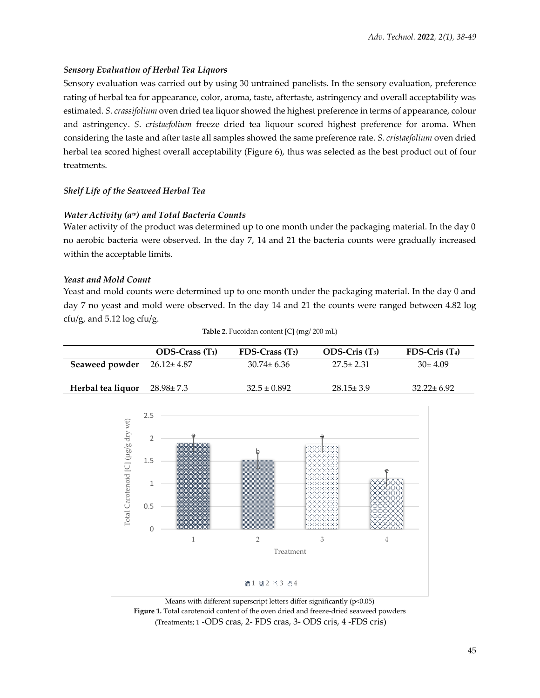# *Sensory Evaluation of Herbal Tea Liquors*

Sensory evaluation was carried out by using 30 untrained panelists. In the sensory evaluation, preference rating of herbal tea for appearance, color, aroma, taste, aftertaste, astringency and overall acceptability was estimated. *S*. *crassifolium* oven dried tea liquor showed the highest preference in terms of appearance, colour and astringency. *S*. *cristaefolium* freeze dried tea liquour scored highest preference for aroma. When considering the taste and after taste all samples showed the same preference rate. *S*. *cristaefolium* oven dried herbal tea scored highest overall acceptability (Figure 6), thus was selected as the best product out of four treatments.

# *Shelf Life of the Seaweed Herbal Tea*

# *Water Activity (aw) and Total Bacteria Counts*

Water activity of the product was determined up to one month under the packaging material. In the day 0 no aerobic bacteria were observed. In the day 7, 14 and 21 the bacteria counts were gradually increased within the acceptable limits.

# *Yeast and Mold Count*

Yeast and mold counts were determined up to one month under the packaging material. In the day 0 and day 7 no yeast and mold were observed. In the day 14 and 21 the counts were ranged between 4.82 log cfu/g, and 5.12 log cfu/g.

|                                   | $ODS-Crass(T_1)$ | $FDS-Crass(T_2)$ | $ODS-Cris(T_3)$ | $FDS-Cris(T4)$   |
|-----------------------------------|------------------|------------------|-----------------|------------------|
| Seaweed powder $26.12 \pm 4.87$   |                  | $30.74 \pm 6.36$ | $27.5 \pm 2.31$ | $30\pm 4.09$     |
| Herbal tea liquor $28.98 \pm 7.3$ |                  | $32.5 \pm 0.892$ | $28.15 \pm 3.9$ | $32.22 \pm 6.92$ |





Means with different superscript letters differ significantly (p<0.05) **Figure 1.** Total carotenoid content of the oven dried and freeze-dried seaweed powders (Treatments; 1 -ODS cras, 2- FDS cras, 3- ODS cris, 4 -FDS cris)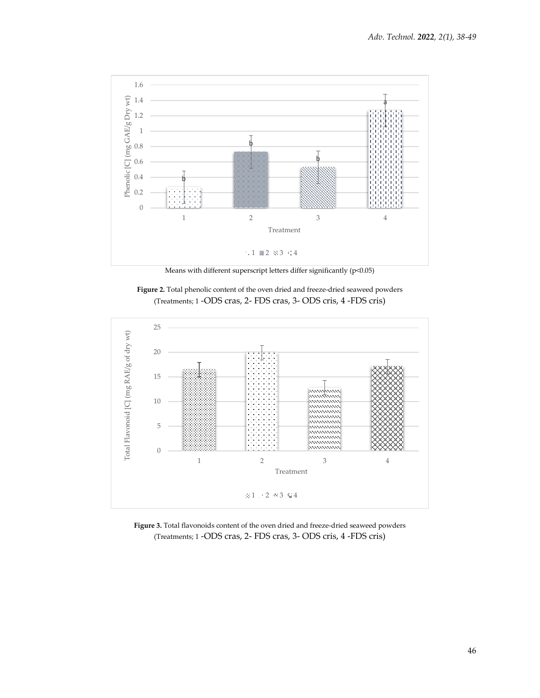

Means with different superscript letters differ significantly (p<0.05)





**Figure 3.** Total flavonoids content of the oven dried and freeze-dried seaweed powders (Treatments; 1 -ODS cras, 2- FDS cras, 3- ODS cris, 4 -FDS cris)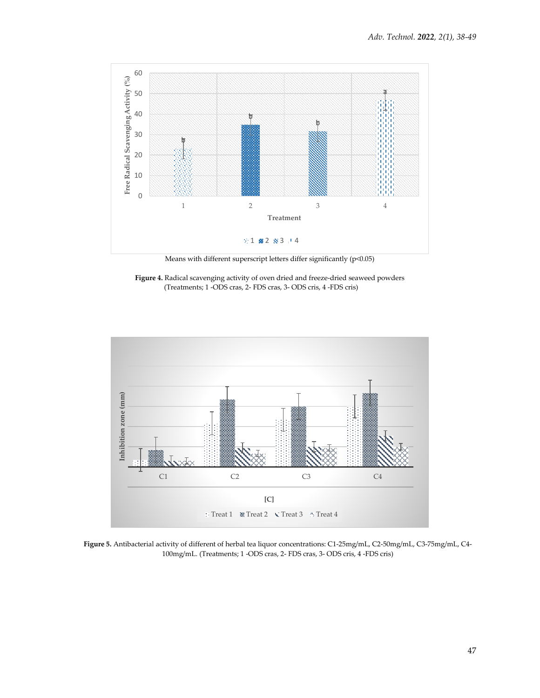

Means with different superscript letters differ significantly (p<0.05)





**Figure 5.** Antibacterial activity of different of herbal tea liquor concentrations: C1-25mg/mL, C2-50mg/mL, C3-75mg/mL, C4- 100mg/mL. (Treatments; 1 -ODS cras, 2- FDS cras, 3- ODS cris, 4 -FDS cris)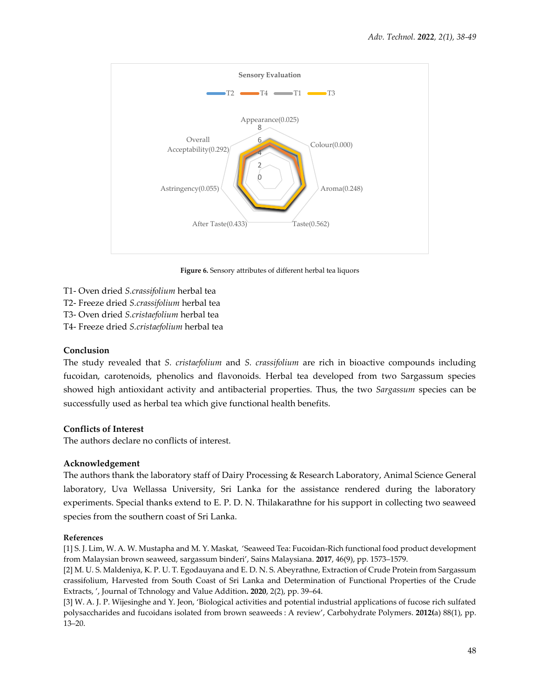

**Figure 6.** Sensory attributes of different herbal tea liquors

- T1- Oven dried *S.crassifolium* herbal tea
- T2- Freeze dried *S.crassifolium* herbal tea
- T3- Oven dried *S.cristaefolium* herbal tea
- T4- Freeze dried *S.cristaefolium* herbal tea

# **Conclusion**

The study revealed that *S. cristaefolium* and *S. crassifolium* are rich in bioactive compounds including fucoidan, carotenoids, phenolics and flavonoids. Herbal tea developed from two Sargassum species showed high antioxidant activity and antibacterial properties. Thus, the two *Sargassum* species can be successfully used as herbal tea which give functional health benefits.

# **Conflicts of Interest**

The authors declare no conflicts of interest.

# **Acknowledgement**

The authors thank the laboratory staff of Dairy Processing & Research Laboratory, Animal Science General laboratory, Uva Wellassa University, Sri Lanka for the assistance rendered during the laboratory experiments. Special thanks extend to E. P. D. N. Thilakarathne for his support in collecting two seaweed species from the southern coast of Sri Lanka.

# **References**

[1] S. J. Lim, W. A. W. Mustapha and M. Y. Maskat, 'Seaweed Tea: Fucoidan-Rich functional food product development from Malaysian brown seaweed, sargassum binderi', Sains Malaysiana. **2017**, 46(9), pp. 1573–1579.

[2] M. U. S. Maldeniya, K. P. U. T. Egodauyana and E. D. N. S. Abeyrathne, Extraction of Crude Protein from Sargassum crassifolium, Harvested from South Coast of Sri Lanka and Determination of Functional Properties of the Crude Extracts, ', Journal of Tchnology and Value Addition**. 2020**, 2(2), pp. 39–64.

[3] W. A. J. P. Wijesinghe and Y. Jeon, 'Biological activities and potential industrial applications of fucose rich sulfated polysaccharides and fucoidans isolated from brown seaweeds : A review', Carbohydrate Polymers. **2012(**a) 88(1), pp. 13–20.